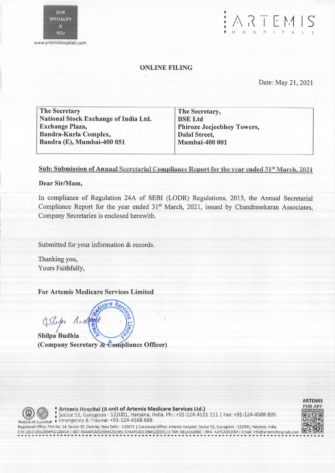www.artemishospitals.com

### ONLINE FILING

Date: May 21, 2021

 $\begin{array}{c} \begin{array}{c} \bullet \\ \bullet \\ \bullet \end{array} & \begin{array}{c} \bullet \\ \bullet \\ \bullet \end{array} & \begin{array}{c} \bullet \\ \bullet \\ \bullet \end{array} & \begin{array}{c} \bullet \\ \bullet \\ \bullet \end{array} & \begin{array}{c} \bullet \\ \bullet \\ \bullet \end{array} & \begin{array}{c} \bullet \\ \bullet \\ \bullet \end{array} & \begin{array}{c} \bullet \\ \bullet \\ \bullet \end{array} & \begin{array}{c} \bullet \\ \bullet \\ \bullet \end{array} & \begin{array}{c} \bullet \\ \bullet \\ \bullet \end{array} & \begin{array}{c} \bullet \\ \bullet \\ \bullet \end{array} & \begin{$ 

The Secretary National Stock Exchange of India Ltd. Exchange Plaza, Bandra-Kurla Complex, Bandra (E), Mumbai-400 051

The Secretary, BSE Ltd Phiroze Jeejeebhoy Towers, Dalal Street, Mumbai-400 001

# Sub: Submission of Annual Secretarial Compliance Report for the year ended 31" March, 2021

## Dear Sir/Mam,

In compliance of Regulation 24A of SEBI (LODR) Regulations, 2015, the Annual Secretarial Compliance Report for the year ended 31<sup>st</sup> March, 2021, issued by Chandrasekaran Associates, Company Secretaries is enclosed herewith.

Submitted for your information & records.

Thanking you, Yours Faithfully,

For Artemis Medicare Services Limited

Shope Bree Shilpa Budhia • (Company Secretary & Compliance Officer)

 $\frac{1}{2}$ care  $S_{\cal O}$ 



ARTEMIS PHR APP

Artemis Hospital (A unit of Artemis Medicare Services Ltd.) Sector 51, Gurugram - 122001, Haryana, India. Ph.: +91-124-4511 111 | Fax: +91-124-4588 899 **ODER CONTRETT PROPRETTE IN A MARK AND SECTOR PROPRETTE IN A MARK AND SURFACE A LIST AND SURFACE SURFACE SURFACE SURFACE SURFACE SURFACE SURFACE SURFACE SURFACE SURFACE SURFACE SURFACE SURFACE SURFACE SURFACE SURFACE SURFA** 

Registered Office: Plot No. 14, Sector 20, Dwarka, New Delhi - 110075 I Corporate Office: Artemis Hospital, Sector 51, Gurugram - 122001, Haryana, India CIN: L85110DL2004PLC126414 I GST: 06AAFCA0130M1Z1(HR), 07AAFCA0130M1ZZ(DEL) I TAN: DELA16048E I PAN: AAFCA0130M I Email: info@artemishospitals.com • ............. • • • • 411. • • ..... ...... • ........... ........ ..........

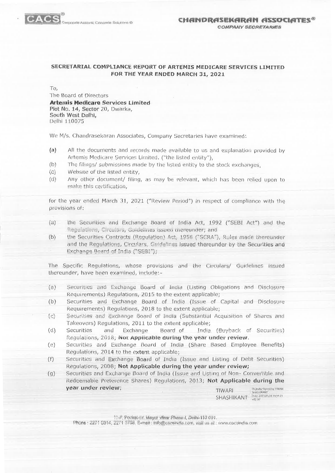

#### SECRETARIAL COMPLIANCE REPORT OF ARTEMIS MEDICARE SERVICES LIMITED FOR THE YEAR ENDED MARCH 31, 2021

To,

The Board of Directors **Artemis Medicare Services Limited** Plot No. 14, Sector 20, Dwarka, South West Delhi, Delhi 110075

We M/s. Chandrasekaran Associates, Company Secretaries have examined:

- All the documents and records made available to us and explanation provided by  $(a)$ Artemis Medicare Services Limited. ("the listed entity"),
- $(b)$ The filings/ submissions made by the listed entity to the stock exchanges.
- $(c)$ Website of the listed entity,
- $(d)$ Any other document/ filing, as may be relevant, which has been relied upon to make this certification.

for the year ended March 31, 2021 ("Review Period") in respect of compliance with the provisions of:

- the Securities and Exchange Board of India Act, 1992 ("SEBI Act") and the  $(a)$ Regulations, Circulars, Guidelines issued thereunder; and
- $(b)$ the Securities Contracts (Regulation) Act, 1956 ("SCRA"), Rules made thereunder and the Regulations, Circulars, Guidelines issued thereunder by the Securities and Exchange Board of India ("SEBI");

The Specific Regulations, whose provisions and the Circulars/ Guidelines issued thereunder, have been examined, include:-

- $(a)$ Securities and Exchange Board of India (Listing Obligations and Disclosure Requirements) Regulations, 2015 to the extent applicable;
- $(b)$ Securities and Exchange Board of India (Issue of Capital and Disclosure Requirements) Regulations, 2018 to the extent applicable;
- $(c)$ Securities and Exchange Board of India (Substantial Acquisition of Shares and Takeovers) Regulations, 2011 to the extent applicable;
- $(d)$ Securities and Exchange Board of India (Buyback of Securities) Regulations, 2018; Not Applicable during the year under review.
- $(e)$ Securities and Exchange Board of India (Share Based Employee Benefits) Regulations, 2014 to the extent applicable;
- $(f)$ Securities and Exchange Board of India (Issue and Listing of Debt Securities) Regulations, 2008; Not Applicable during the year under review;
- $(g)$ Securities and Exchange Board of India (Issue and Listing of Non-Convertible and Redeemable Preference Shares) Regulations, 2013; Not Applicable during the year under review; Digitally signed by TIWARI.<br>SHASHIKANT TIWARI

 $\text{SHASHIKANT} \quad \substack{\text{3003-105,008-1954:21} \\ \text{405'30'}}$ 

11-F. Pocket-IV. Mayor Viner Pheas-1, Demi-110 091.

Phone : 2271 0514, 2271 3796, E-med : info@caceindia.com, visit us at : www.cacsindia.com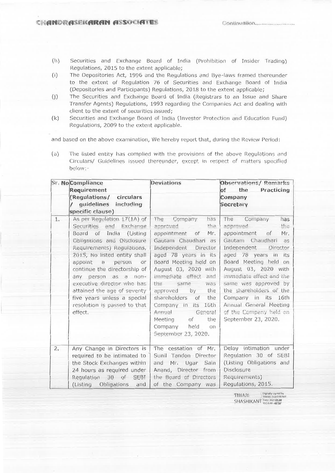- (h) Securities and Exchange Board of India (Prohibition of Insider Trading) Regulations, 2015 to the extent applicable;
- (i) The Depositories Act, 1996 and the Regulations and Bye-laws framed thereunder to the extent of Regulation 76 of Securities and Exchange Board of India (Depositories and Participants) Regulations, 201,8 to the extent applicable;
- (j) The Securities and Exchange Board of India (Registrars to an Issue and Share Transfer Agents) Regulations, 1993 regarding the Companies Act and dealing with client to the extent of securities issued;
- (k) Securities and Exchange Board of India (Investor Protection and Education Fund) Regulations, 2009 to the extent applicable.

and based on the above examination, We hereby report that, during the Review Period:

(a) The listed entity has complied with the provisions of the above Regulations and Circulars/ Guidelines issued thereunder, except in respect of matters specified below: --

| Sr. NoCompliance<br>Requirement<br>(Regulations/<br>circulars<br>guidelines including |                                                                                                                                                                                                                                                                                                                                                                                                                 | <b>Deviations</b>                                                                                                                                                                                                                                                                                                                                                                                                                   | <b>Observations/ Remarks</b><br>of<br>the<br>Practicing<br>Company<br>Secretary                                                                                                                                                                                                                                                                                                               |  |
|---------------------------------------------------------------------------------------|-----------------------------------------------------------------------------------------------------------------------------------------------------------------------------------------------------------------------------------------------------------------------------------------------------------------------------------------------------------------------------------------------------------------|-------------------------------------------------------------------------------------------------------------------------------------------------------------------------------------------------------------------------------------------------------------------------------------------------------------------------------------------------------------------------------------------------------------------------------------|-----------------------------------------------------------------------------------------------------------------------------------------------------------------------------------------------------------------------------------------------------------------------------------------------------------------------------------------------------------------------------------------------|--|
|                                                                                       | specific clause)                                                                                                                                                                                                                                                                                                                                                                                                |                                                                                                                                                                                                                                                                                                                                                                                                                                     |                                                                                                                                                                                                                                                                                                                                                                                               |  |
| $1.$                                                                                  | As per Regulation 17(1A) of<br>Securities and Exchange<br>Board of India<br>(Listing<br>Obligations and Disclosure<br>Requirements) Requiations,<br>2015, No listed entity shall<br>appoint a<br>person<br>or<br>continue the directorship of<br>person as a non-<br>any<br>executive director who has<br>attained the age of seventy<br>five years unless a special<br>resolution is passed to that<br>effect. | The<br>Company<br>has<br>the<br>approved<br>appointment<br>of<br>Mr.<br>Gautam Chaudhari as<br>Director<br>Independent<br>aged 78 years in its<br>Board Meeting held on<br>August 03, 2020 with<br>immediate effect<br>and<br>the<br>same<br>was<br>the<br>approved<br>by<br>shareholders<br>of<br>the<br>Company in its 16th<br>Annual<br>Genera!<br>of<br>the<br>Meeting<br>Company held<br>$_{\text{on}}$<br>September 23, 2020. | The<br>Company<br>has<br>the<br>approved<br>appointment<br>Mr.<br>of<br>Gautam Chaudhari<br>as<br><b>Director</b><br>Independent<br>aged 78 years in its<br>Board Meeting held on<br>August 03, 2020 with<br>immediate effect and the<br>same was approved by<br>the shareholders of the<br>Company in its<br>16th<br>Annual General Meeting<br>of the Company held on<br>September 23, 2020. |  |
| 2.                                                                                    | Any Change in Directors is<br>required to be intimated to<br>the Stock Exchanges within<br>24 hours as required under<br>Regulation 30 of SEBI<br>(Listing Obligations<br>and                                                                                                                                                                                                                                   | The cessation of Mr.<br>Sunil Tandon Director<br>Mr. Ugar<br>Sain<br>and<br>Anand, Director from<br>the Board of Directors<br>of the Company was                                                                                                                                                                                                                                                                                    | Delay intimation under<br>Regulation 30 of SEBI<br>(Listing Obligations and<br>Disclosure<br>Requirements)<br>Regulations, 2015.                                                                                                                                                                                                                                                              |  |

TIWARI Digitally signed by TIWARI SHASHIKANT Date: 2021.05.08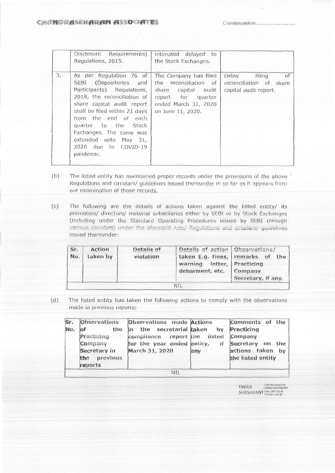|    | Disclosure Requirements)<br>Regulations, 2015.                                                                                                                                                                                                                                                                         | intimated delayed to<br>the Stock Exchanges.                                                                                                |                                                                           |
|----|------------------------------------------------------------------------------------------------------------------------------------------------------------------------------------------------------------------------------------------------------------------------------------------------------------------------|---------------------------------------------------------------------------------------------------------------------------------------------|---------------------------------------------------------------------------|
| 3. | As per Regulation 76 of<br>SEBI (Depositories and<br>Participants) Regulations,<br>2018, the reconciliation of<br>share capital audit report<br>shall be filed within 21 days<br>from the end of each<br>quarter to the Stock<br>Exchanges. The same was<br>extended upto May 31,<br>2020 due to COVID-19<br>pandemic. | The Company has filed<br>the<br>reconciliation of<br>share capital audit<br>report for quarter<br>ended March 31, 2020<br>on June 11, 2020. | Delay<br>filing<br>of<br>reconciliation of share<br>capital audit report. |

- (b) The listed entity has maintained proper records under the provisions of the above Regulations and circulars/ guidelines issued thereunder in so far as it appears from our examination of those records.
- (c) The following are the details of actions taken against the listed entity/ its promoters/ directors/ material subsidiaries either by SEBI or by Stock Exchanges (including under the Standard Operating Procedures issued by SEBI through the aforesald Acts/ Regulations and circulars/ guid issued thereunder:

| Sr. | Action   | Details of | Details of action Observations/                            |                               |
|-----|----------|------------|------------------------------------------------------------|-------------------------------|
| No. | taken by | violation  | taken E.g. fines, remarks of<br>warning letter, Practicing | the                           |
|     |          |            | debarment, etc.                                            | Company<br>Secretary, if any. |
|     |          |            | NIL                                                        |                               |

(d) The listed entity has taken the following actions to comply with the observations made in previous reports:

| Sr. | <b>Observations</b>                                                     | <b>Observations</b> made <b>Actions</b>                                                                        |     | Comments of the                                                                    |  |
|-----|-------------------------------------------------------------------------|----------------------------------------------------------------------------------------------------------------|-----|------------------------------------------------------------------------------------|--|
| No. | the<br>Practicing<br>Company<br>Secretary in<br>the previous<br>reports | in the secretarial taken by<br>compliance report the listed<br>for the year ended entity, if<br>March 31, 2020 | any | Practicing<br>Company<br>Secretary on the<br>actions taken by<br>the listed entity |  |
|     | <b>NIL</b>                                                              |                                                                                                                |     |                                                                                    |  |

Slyned by TiwAIRI<br>SHASHIKANT Date: 2021.05.08<br>SHASHIKANT 09:5513 +05'30'